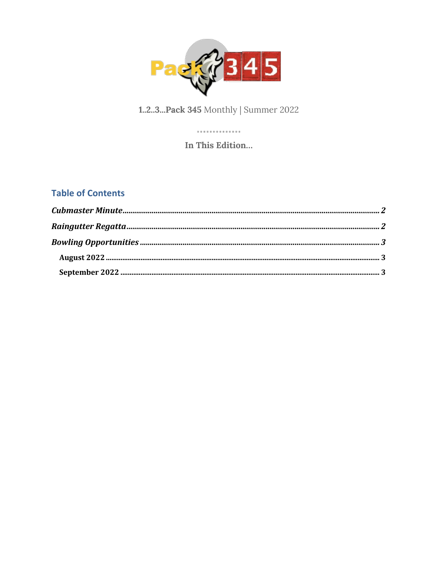

#### 1.2.3...Pack 345 Monthly | Summer 2022

. . . . . . . . . . . . . . In This Edition...

#### **Table of Contents**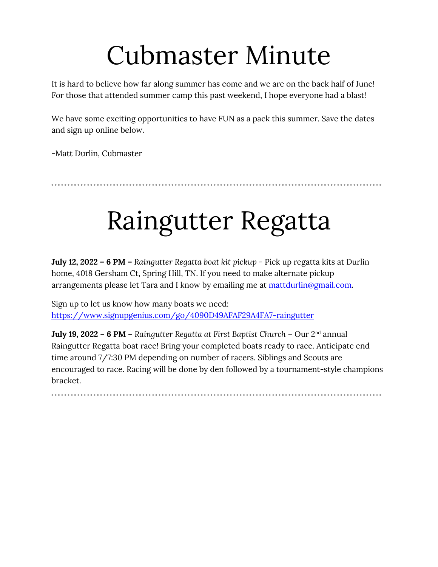## Cubmaster Minute

It is hard to believe how far along summer has come and we are on the back half of June! For those that attended summer camp this past weekend, I hope everyone had a blast!

We have some exciting opportunities to have FUN as a pack this summer. Save the dates and sign up online below.

-Matt Durlin, Cubmaster

## Raingutter Regatta

**July 12, 2022 – 6 PM –** *Raingutter Regatta boat kit pickup* - Pick up regatta kits at Durlin home, 4018 Gersham Ct, Spring Hill, TN. If you need to make alternate pickup arrangements please let Tara and I know by emailing me at mattdurlin@gmail.com.

Sign up to let us know how many boats we need: https://www.signupgenius.com/go/4090D49AFAF29A4FA7-raingutter

**July 19, 2022 – 6 PM –** *Raingutter Regatta at First Baptist Church* – Our 2nd annual Raingutter Regatta boat race! Bring your completed boats ready to race. Anticipate end time around 7/7:30 PM depending on number of racers. Siblings and Scouts are encouraged to race. Racing will be done by den followed by a tournament-style champions bracket.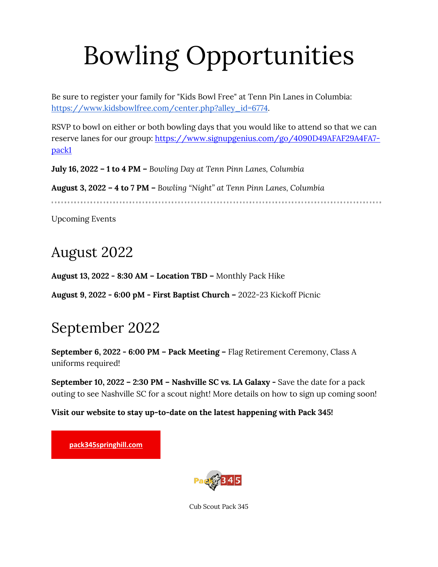# Bowling Opportunities

Be sure to register your family for "Kids Bowl Free" at Tenn Pin Lanes in Columbia: https://www.kidsbowlfree.com/center.php?alley\_id=6774.

RSVP to bowl on either or both bowling days that you would like to attend so that we can reserve lanes for our group: https://www.signupgenius.com/go/4090D49AFAF29A4FA7pack1

**July 16, 2022 – 1 to 4 PM –** *Bowling Day at Tenn Pinn Lanes, Columbia* 

**August 3, 2022 – 4 to 7 PM –** *Bowling "Night" at Tenn Pinn Lanes, Columbia* 

Upcoming Events

### August 2022

**August 13, 2022 - 8:30 AM – Location TBD –** Monthly Pack Hike

**August 9, 2022 - 6:00 pM - First Baptist Church –** 2022-23 Kickoff Picnic

### September 2022

**September 6, 2022 - 6:00 PM – Pack Meeting –** Flag Retirement Ceremony, Class A uniforms required!

**September 10, 2022 – 2:30 PM – Nashville SC vs. LA Galaxy -** Save the date for a pack outing to see Nashville SC for a scout night! More details on how to sign up coming soon!

**Visit our website to stay up-to-date on the latest happening with Pack 345!**

**pack345springhill.com**



Cub Scout Pack 345